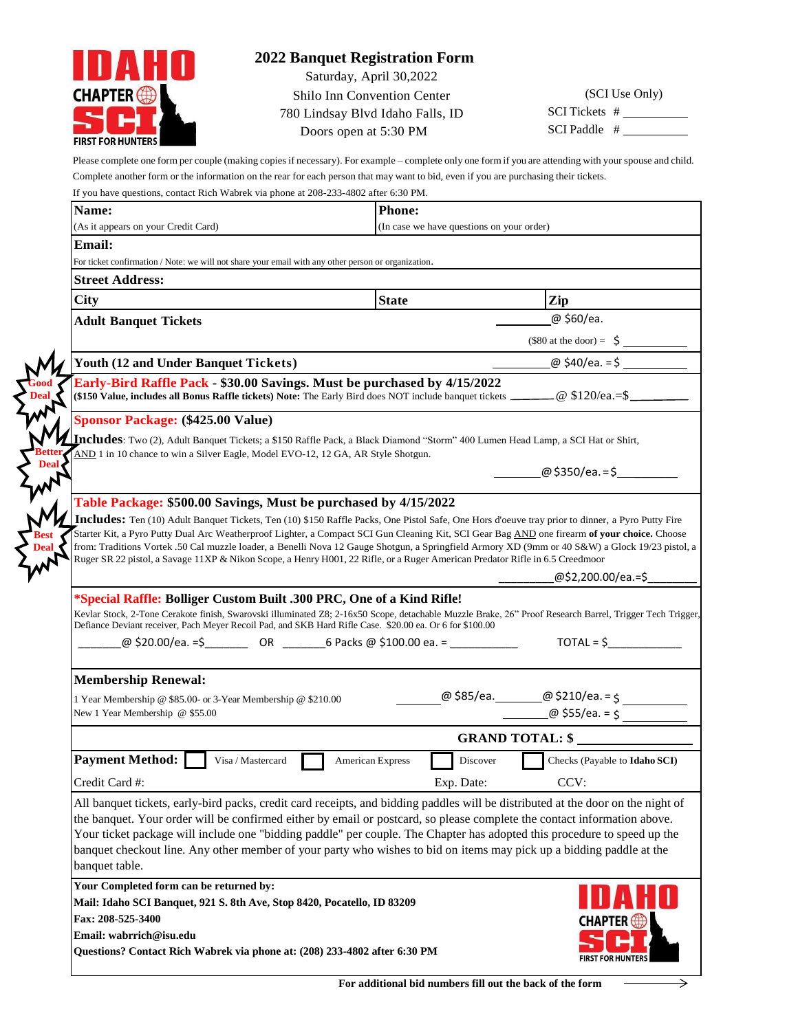

## **2022 Banquet Registration Form**

Saturday, April 30,2022

Shilo Inn Convention Center 780 Lindsay Blvd Idaho Falls, ID Doors open at 5:30 PM

(SCI Use Only) SCI Tickets # SCI Paddle #

Please complete one form per couple (making copiesif necessary). For example – complete only one form if you are attending with your spouse and child. Complete another form or the information on the rear for each person that may want to bid, even if you are purchasing their tickets.

| If you have questions, contact Rich Wabrek via phone at 208-233-4802 after 6:30 PM.                                                                                                                                                                                                                                                                                                                                                                                                                                                                                                                                                                      |                  |                                           |                                               |
|----------------------------------------------------------------------------------------------------------------------------------------------------------------------------------------------------------------------------------------------------------------------------------------------------------------------------------------------------------------------------------------------------------------------------------------------------------------------------------------------------------------------------------------------------------------------------------------------------------------------------------------------------------|------------------|-------------------------------------------|-----------------------------------------------|
| Name:                                                                                                                                                                                                                                                                                                                                                                                                                                                                                                                                                                                                                                                    | <b>Phone:</b>    |                                           |                                               |
| (As it appears on your Credit Card)                                                                                                                                                                                                                                                                                                                                                                                                                                                                                                                                                                                                                      |                  | (In case we have questions on your order) |                                               |
| <b>Email:</b>                                                                                                                                                                                                                                                                                                                                                                                                                                                                                                                                                                                                                                            |                  |                                           |                                               |
| For ticket confirmation / Note: we will not share your email with any other person or organization.                                                                                                                                                                                                                                                                                                                                                                                                                                                                                                                                                      |                  |                                           |                                               |
| <b>Street Address:</b>                                                                                                                                                                                                                                                                                                                                                                                                                                                                                                                                                                                                                                   |                  |                                           |                                               |
| City                                                                                                                                                                                                                                                                                                                                                                                                                                                                                                                                                                                                                                                     | <b>State</b>     |                                           | Zip                                           |
| <b>Adult Banquet Tickets</b>                                                                                                                                                                                                                                                                                                                                                                                                                                                                                                                                                                                                                             |                  |                                           | @ \$60/ea.                                    |
|                                                                                                                                                                                                                                                                                                                                                                                                                                                                                                                                                                                                                                                          |                  |                                           | $(\$80$ at the door) = $\frac{\xi}{\sqrt{2}}$ |
| Youth (12 and Under Banquet Tickets)                                                                                                                                                                                                                                                                                                                                                                                                                                                                                                                                                                                                                     |                  |                                           |                                               |
| Early-Bird Raffle Pack - \$30.00 Savings. Must be purchased by 4/15/2022<br>(\$150 Value, includes all Bonus Raffle tickets) Note: The Early Bird does NOT include banquet tickets ______ @ \$120/ea.=\$                                                                                                                                                                                                                                                                                                                                                                                                                                                 |                  |                                           |                                               |
| <b>Sponsor Package: (\$425.00 Value)</b>                                                                                                                                                                                                                                                                                                                                                                                                                                                                                                                                                                                                                 |                  |                                           |                                               |
| Includes: Two (2), Adult Banquet Tickets; a \$150 Raffle Pack, a Black Diamond "Storm" 400 Lumen Head Lamp, a SCI Hat or Shirt,<br>AND 1 in 10 chance to win a Silver Eagle, Model EVO-12, 12 GA, AR Style Shotgun.                                                                                                                                                                                                                                                                                                                                                                                                                                      |                  |                                           |                                               |
|                                                                                                                                                                                                                                                                                                                                                                                                                                                                                                                                                                                                                                                          |                  |                                           | @ \$350/ea. = \$                              |
| Table Package: \$500.00 Savings, Must be purchased by 4/15/2022                                                                                                                                                                                                                                                                                                                                                                                                                                                                                                                                                                                          |                  |                                           |                                               |
| Ruger SR 22 pistol, a Savage 11XP & Nikon Scope, a Henry H001, 22 Rifle, or a Ruger American Predator Rifle in 6.5 Creedmoor<br>*Special Raffle: Bolliger Custom Built .300 PRC, One of a Kind Rifle!<br>Kevlar Stock, 2-Tone Cerakote finish, Swarovski illuminated Z8; 2-16x50 Scope, detachable Muzzle Brake, 26" Proof Research Barrel, Trigger Tech Trigger,<br>Defiance Deviant receiver, Pach Meyer Recoil Pad, and SKB Hard Rifle Case. \$20.00 ea. Or 6 for \$100.00<br><b>Membership Renewal:</b>                                                                                                                                              |                  |                                           | @\$2,200.00/ea.=\$_<br>$TOTAL = $$            |
| 1 Year Membership @ \$85.00- or 3-Year Membership @ \$210.00                                                                                                                                                                                                                                                                                                                                                                                                                                                                                                                                                                                             |                  |                                           |                                               |
| New 1 Year Membership @ \$55.00                                                                                                                                                                                                                                                                                                                                                                                                                                                                                                                                                                                                                          |                  |                                           |                                               |
|                                                                                                                                                                                                                                                                                                                                                                                                                                                                                                                                                                                                                                                          |                  |                                           | <b>GRAND TOTAL: \$</b>                        |
| <b>Payment Method:</b><br>Visa / Mastercard                                                                                                                                                                                                                                                                                                                                                                                                                                                                                                                                                                                                              | American Express | Discover                                  | Checks (Payable to Idaho SCI)                 |
| Credit Card #:                                                                                                                                                                                                                                                                                                                                                                                                                                                                                                                                                                                                                                           |                  | Exp. Date:                                | CCV:                                          |
| All banquet tickets, early-bird packs, credit card receipts, and bidding paddles will be distributed at the door on the night of<br>the banquet. Your order will be confirmed either by email or postcard, so please complete the contact information above.<br>Your ticket package will include one "bidding paddle" per couple. The Chapter has adopted this procedure to speed up the<br>banquet checkout line. Any other member of your party who wishes to bid on items may pick up a bidding paddle at the<br>banquet table.<br>Your Completed form can be returned by:<br>Mail: Idaho SCI Banquet, 921 S. 8th Ave, Stop 8420, Pocatello, ID 83209 |                  |                                           |                                               |
| Fax: 208-525-3400<br>Email: wabrrich@isu.edu<br>Questions? Contact Rich Wabrek via phone at: (208) 233-4802 after 6:30 PM                                                                                                                                                                                                                                                                                                                                                                                                                                                                                                                                |                  |                                           | <b>CHAPTER</b><br><b>FIRST FOR HUNTERS</b>    |